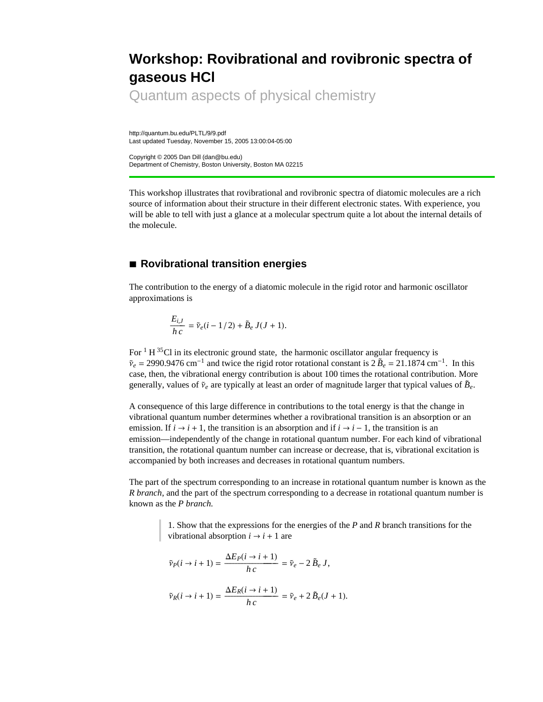# **Workshop: Rovibrational and rovibronic spectra of gaseous HCl**

Quantum aspects of physical chemistry

http://quantum.bu.edu/PLTL/9/9.pdf Last updated Tuesday, November 15, 2005 13:00:04-05:00

Copyright © 2005 Dan Dill (dan@bu.edu) Department of Chemistry, Boston University, Boston MA 02215

This workshop illustrates that rovibrational and rovibronic spectra of diatomic molecules are a rich source of information about their structure in their different electronic states. With experience, you will be able to tell with just a glance at a molecular spectrum quite a lot about the internal details of the molecule.

# **à Rovibrational transition energies**

The contribution to the energy of a diatomic molecule in the rigid rotor and harmonic oscillator approximations is

$$
\frac{E_{i,J}}{h\,c} = \tilde{\nu}_e(i-1/2) + \tilde{B}_e\,J(J+1).
$$

For  $1 H^{35}$ Cl in its electronic ground state, the harmonic oscillator angular frequency is  $\tilde{v}_e = 2990.9476 \text{ cm}^{-1}$  and twice the rigid rotor rotational constant is  $2 \tilde{B}_e = 21.1874 \text{ cm}^{-1}$ . In this case, then, the vibrational energy contribution is about 100 times the rotational contribution. More generally, values of  $\tilde{\nu}_e$  are typically at least an order of magnitude larger that typical values of  $\tilde{B}_e$ .

A consequence of this large difference in contributions to the total energy is that the change in vibrational quantum number determines whether a rovibrational transition is an absorption or an emission. If  $i \rightarrow i + 1$ , the transition is an absorption and if  $i \rightarrow i - 1$ , the transition is an emission—independently of the change in rotational quantum number. For each kind of vibrational transition, the rotational quantum number can increase or decrease, that is, vibrational excitation is accompanied by both increases and decreases in rotational quantum numbers.

The part of the spectrum corresponding to an increase in rotational quantum number is known as the *R branch*, and the part of the spectrum corresponding to a decrease in rotational quantum number is known as the *P branch.*

> 1. Show that the expressions for the energies of the *P* and *R* branch transitions for the vibrational absorption  $i \rightarrow i + 1$  are

$$
\tilde{\nu}_P(i \to i+1) = \frac{\Delta E_P(i \to i+1)}{h \, c} = \tilde{\nu}_e - 2 \, \tilde{B}_e \, J,
$$

$$
\tilde{\nu}_R(i \to i+1) = \frac{\Delta E_R(i \to i+1)}{h \, c} = \tilde{\nu}_e + 2 \, \tilde{B}_e(J+1).
$$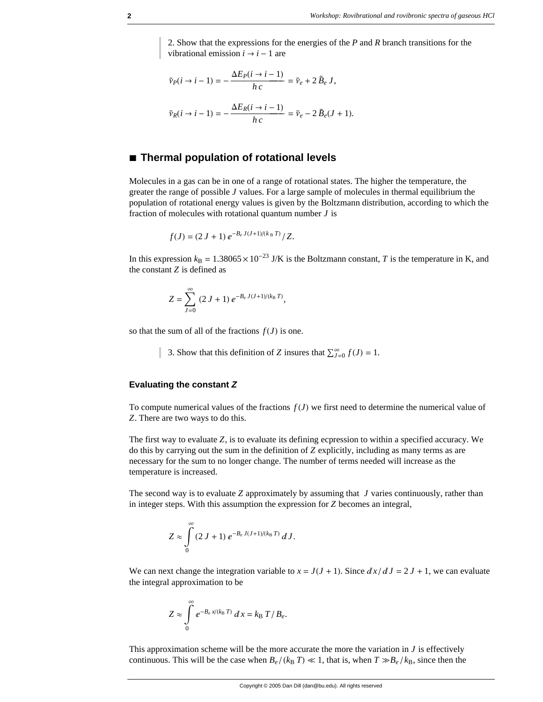2. Show that the expressions for the energies of the *P* and *R* branch transitions for the vibrational emission  $i \rightarrow i - 1$  are

$$
\tilde{\nu}_P(i \to i - 1) = -\frac{\Delta E_P(i \to i - 1)}{h c} = \tilde{\nu}_e + 2 \tilde{B}_e J,
$$
  

$$
\tilde{\nu}_R(i \to i - 1) = -\frac{\Delta E_R(i \to i - 1)}{h c} = \tilde{\nu}_e - 2 \tilde{B}_e (J + 1).
$$

## **à Thermal population of rotational levels**

Molecules in a gas can be in one of a range of rotational states. The higher the temperature, the greater the range of possible *J* values. For a large sample of molecules in thermal equilibrium the population of rotational energy values is given by the Boltzmann distribution, according to which the fraction of molecules with rotational quantum number *J* is

$$
f(J) = (2 J + 1) e^{-B_e J(J+1)/(k_B T)} / Z.
$$

In this expression  $k_B = 1.38065 \times 10^{-23}$  J/K is the Boltzmann constant, *T* is the temperature in K, and the constant *Z* is defined as

$$
Z = \sum_{J=0}^{\infty} (2 J + 1) e^{-B_e J (J+1)/(k_{\rm B} T)},
$$

so that the sum of all of the fractions  $f(J)$  is one.

3. Show that this definition of *Z* insures that  $\sum_{J=0}^{\infty} f(J) = 1$ .

#### **Evaluating the constant** *Z*

To compute numerical values of the fractions  $f(J)$  we first need to determine the numerical value of *Z*. There are two ways to do this.

The first way to evaluate *Z*, is to evaluate its defining ecpression to within a specified accuracy. We do this by carrying out the sum in the definition of *Z* explicitly, including as many terms as are necessary for the sum to no longer change. The number of terms needed will increase as the temperature is increased.

The second way is to evaluate *Z* approximately by assuming that *J* varies continuously, rather than in integer steps. With this assumption the expression for *Z* becomes an integral,

$$
Z \approx \int\limits_0^\infty \left(2 J + 1\right) e^{-B_e J(J+1)/(k_\mathrm{B} T)} dJ.
$$

We can next change the integration variable to  $x = J(J + 1)$ . Since  $dx/dJ = 2J + 1$ , we can evaluate the integral approximation to be

$$
Z \approx \int\limits_{0}^{\infty} e^{-B_e x/(k_{\rm B} T)} dx = k_{\rm B} T/B_e.
$$

This approximation scheme will be the more accurate the more the variation in  $J$  is effectively continuous. This will be the case when  $B_e/(k_B T) \ll 1$ , that is, when  $T \gg B_e/k_B$ , since then the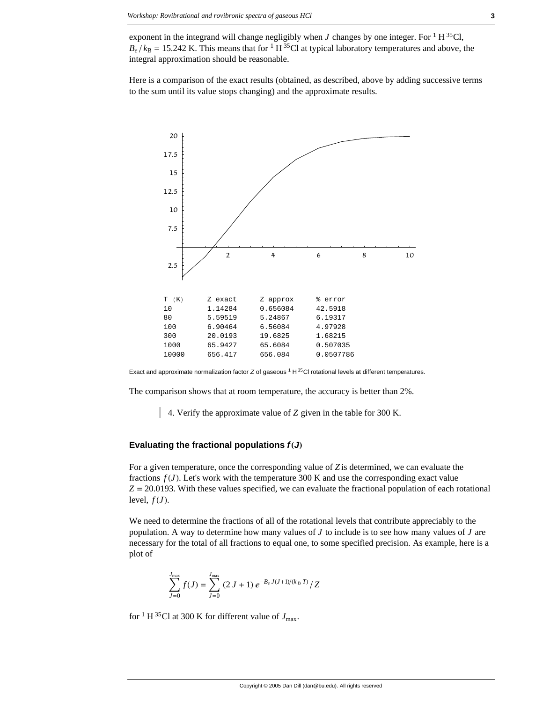exponent in the integrand will change negligibly when *J* changes by one integer. For <sup>1</sup> H<sup>35</sup>Cl,  $B_e$  / $k_B$  = 15.242 K. This means that for <sup>1</sup> H<sup>35</sup>Cl at typical laboratory temperatures and above, the integral approximation should be reasonable.

Here is a comparison of the exact results (obtained, as described, above by adding successive terms to the sum until its value stops changing) and the approximate results.



Exact and approximate normalization factor *Z* of gaseous <sup>1</sup> H <sup>35</sup>Cl rotational levels at different temperatures.

The comparison shows that at room temperature, the accuracy is better than 2%.

4. Verify the approximate value of *Z* given in the table for 300 K.

#### Evaluating the fractional populations  $f(J)$

For a given temperature, once the corresponding value of *Z* is determined, we can evaluate the fractions  $f(J)$ . Let's work with the temperature 300 K and use the corresponding exact value  $Z = 20.0193$ . With these values specified, we can evaluate the fractional population of each rotational level,  $f(J)$ .

We need to determine the fractions of all of the rotational levels that contribute appreciably to the population. A way to determine how many values of *J* to include is to see how many values of *J* are necessary for the total of all fractions to equal one, to some specified precision. As example, here is a plot of

$$
\sum_{J=0}^{J_{\text{max}}} f(J) = \sum_{J=0}^{J_{\text{max}}} (2 J + 1) e^{-B_e J (J+1)/(k_B T)} / Z
$$

for <sup>1</sup> H <sup>35</sup>Cl at 300 K for different value of  $J_{\text{max}}$ .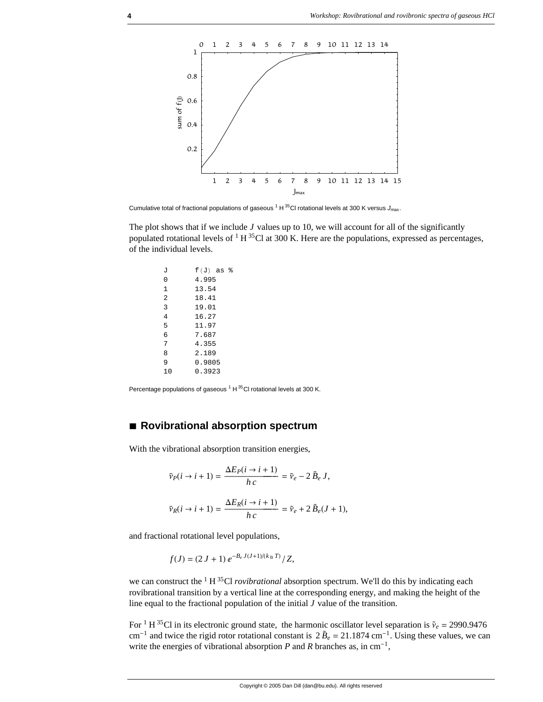

Cumulative total of fractional populations of gaseous <sup>1</sup> H <sup>35</sup>Cl rotational levels at 300 K versus J<sub>max</sub>.

The plot shows that if we include  $J$  values up to 10, we will account for all of the significantly populated rotational levels of <sup>1</sup> H<sup>35</sup>Cl at 300 K. Here are the populations, expressed as percentages, of the individual levels.

| J  | $f(J)$ as $\delta$ |
|----|--------------------|
| 0  | 4.995              |
| 1  | 13.54              |
| 2  | 18.41              |
| 3  | 19.01              |
| 4  | 16.27              |
| 5  | 11.97              |
| 6  | 7.687              |
| 7  | 4.355              |
| 8  | 2.189              |
| 9  | 0.9805             |
| 10 | 0.3923             |
|    |                    |

Percentage populations of gaseous<sup>1</sup> H<sup>35</sup>Cl rotational levels at 300 K.

# **à Rovibrational absorption spectrum**

With the vibrational absorption transition energies,

$$
\tilde{\nu}_P(i \to i+1) = \frac{\Delta E_P(i \to i+1)}{h \, c} = \tilde{\nu}_e - 2 \, \tilde{B}_e \, J,
$$
  

$$
\tilde{\nu}_R(i \to i+1) = \frac{\Delta E_R(i \to i+1)}{h \, c} = \tilde{\nu}_e + 2 \, \tilde{B}_e(J+1),
$$

and fractional rotational level populations,

$$
f(J) = (2 J + 1) e^{-B_e J(J+1)/(k_B T)} / Z,
$$

we can construct the <sup>1</sup> H<sup>35</sup>Cl *rovibrational* absorption spectrum. We'll do this by indicating each rovibrational transition by a vertical line at the corresponding energy, and making the height of the line equal to the fractional population of the initial *J* value of the transition.

For <sup>1</sup> H<sup>35</sup>Cl in its electronic ground state, the harmonic oscillator level separation is  $\tilde{v}_e = 2990.9476$  $cm^{-1}$  and twice the rigid rotor rotational constant is  $2 \tilde{B}_e = 21.1874$  cm<sup>-1</sup>. Using these values, we can write the energies of vibrational absorption  $P$  and  $R$  branches as, in cm<sup>-1</sup>,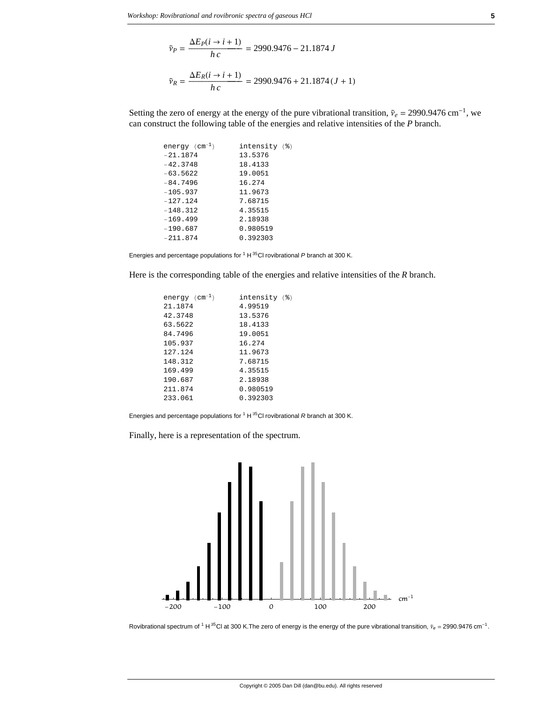$$
\tilde{\nu}_P = \frac{\Delta E_P(i \to i + 1)}{h \, c} = 2990.9476 - 21.1874 \, J
$$
\n
$$
\tilde{\nu}_R = \frac{\Delta E_R(i \to i + 1)}{h \, c} = 2990.9476 + 21.1874 \, (J + 1)
$$

Setting the zero of energy at the energy of the pure vibrational transition,  $\tilde{v}_e = 2990.9476 \text{ cm}^{-1}$ , we can construct the following table of the energies and relative intensities of the *P* branch.

| energy ( $\text{cm}^{-1}$ ) | intensity (%) |  |
|-----------------------------|---------------|--|
| $-21.1874$                  | 13.5376       |  |
| $-42.3748$                  | 18.4133       |  |
| $-63.5622$                  | 19.0051       |  |
| $-84.7496$                  | 16.274        |  |
| $-105.937$                  | 11.9673       |  |
| $-127.124$                  | 7.68715       |  |
| $-148.312$                  | 4.35515       |  |
| $-169.499$                  | 2.18938       |  |
| $-190.687$                  | 0.980519      |  |
| $-211.874$                  | 0.392303      |  |
|                             |               |  |

Energies and percentage populations for 1 H 35Cl rovibrational *P* branch at 300 K.

Here is the corresponding table of the energies and relative intensities of the *R* branch.

| energy ( $cm^{-1}$ ) | intensity (%) |
|----------------------|---------------|
| 21.1874              | 4.99519       |
| 42.3748              | 13.5376       |
| 63.5622              | 18.4133       |
| 84.7496              | 19.0051       |
| 105.937              | 16.274        |
| 127.124              | 11.9673       |
| 148.312              | 7.68715       |
| 169.499              | 4.35515       |
| 190.687              | 2.18938       |
| 211.874              | 0.980519      |
| 233.061              | 0.392303      |
|                      |               |

Energies and percentage populations for 1 H 35Cl rovibrational *R* branch at 300 K.

Finally, here is a representation of the spectrum.



Rovibrational spectrum of <sup>1</sup> H <sup>35</sup>Cl at 300 K.The zero of energy is the energy of the pure vibrational transition,  $\tilde{v}_e$  = 2990.9476 cm<sup>-1</sup>.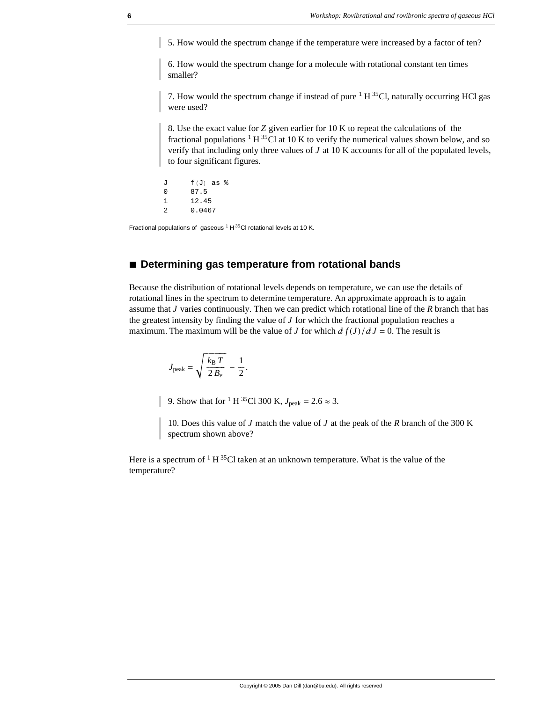5. How would the spectrum change if the temperature were increased by a factor of ten?

6. How would the spectrum change for a molecule with rotational constant ten times smaller?

7. How would the spectrum change if instead of pure  $1 H^{35}Cl$ , naturally occurring HCl gas were used?

8. Use the exact value for *Z* given earlier for 10 K to repeat the calculations of the fractional populations  $1 H^{35}$ Cl at 10 K to verify the numerical values shown below, and so verify that including only three values of *J* at 10 K accounts for all of the populated levels, to four significant figures.

 $J$   $f(J)$  as  $%$ <br>0  $87.5$ 0 87.5 1 12.45 2 0.0467

Fractional populations of gaseous  $1 + 35$ Cl rotational levels at 10 K.

## **à Determining gas temperature from rotational bands**

Because the distribution of rotational levels depends on temperature, we can use the details of rotational lines in the spectrum to determine temperature. An approximate approach is to again assume that *J* varies continuously. Then we can predict which rotational line of the *R* branch that has the greatest intensity by finding the value of  $J$  for which the fractional population reaches a maximum. The maximum will be the value of *J* for which  $\frac{df(J)}{dJ} = 0$ . The result is

$$
J_{\text{peak}} = \sqrt{\frac{k_{\text{B}} T}{2 B_e}} - \frac{1}{2}.
$$

9. Show that for <sup>1</sup> H <sup>35</sup>Cl 300 K,  $J_{\text{peak}} = 2.6 \approx 3$ .

10. Does this value of *J* match the value of *J* at the peak of the *R* branch of the 300 K spectrum shown above?

Here is a spectrum of  $1 H^{35}Cl$  taken at an unknown temperature. What is the value of the temperature?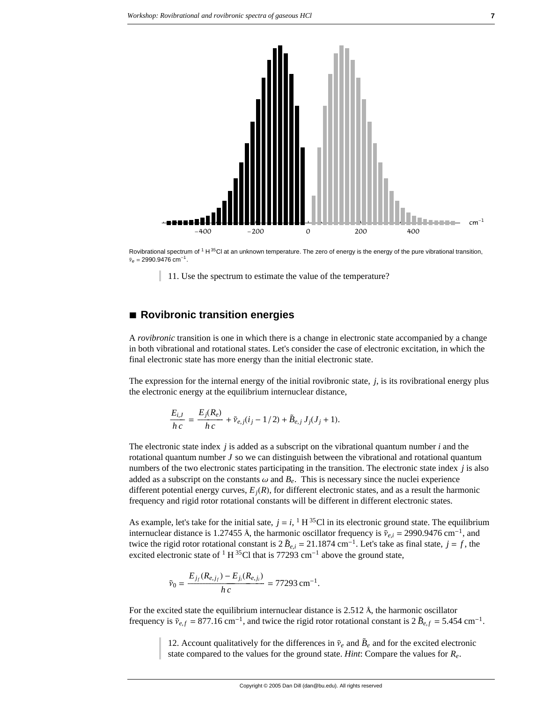



Rovibrational spectrum of  $1 H^{35}$ Cl at an unknown temperature. The zero of energy is the energy of the pure vibrational transition,  $\tilde{v}_e = 2990.9476 \text{ cm}^{-1}.$ 

11. Use the spectrum to estimate the value of the temperature?

## **à Rovibronic transition energies**

A *rovibronic* transition is one in which there is a change in electronic state accompanied by a change in both vibrational and rotational states. Let's consider the case of electronic excitation, in which the final electronic state has more energy than the initial electronic state.

The expression for the internal energy of the initial rovibronic state, *j*, is its rovibrational energy plus the electronic energy at the equilibrium internuclear distance,

$$
\frac{E_{i,J}}{h\,c} = \frac{E_j(R_e)}{h\,c} + \tilde{\nu}_{e,j}(i_j - 1/2) + \tilde{B}_{e,j}\,J_j(J_j + 1).
$$

The electronic state index *j* is added as a subscript on the vibrational quantum number *i* and the rotational quantum number *J* so we can distinguish between the vibrational and rotational quantum numbers of the two electronic states participating in the transition. The electronic state index *j* is also added as a subscript on the constants  $\omega$  and  $B<sub>e</sub>$ . This is necessary since the nuclei experience different potential energy curves,  $E_i(R)$ , for different electronic states, and as a result the harmonic frequency and rigid rotor rotational constants will be different in different electronic states.

As example, let's take for the initial sate,  $j = i$ ,  $\frac{1}{1}$  H  $^{35}$ Cl in its electronic ground state. The equilibrium internuclear distance is 1.27455 Å, the harmonic oscillator frequency is  $\tilde{v}_{e,i} = 2990.9476 \text{ cm}^{-1}$ , and internuclear distance is 1.27455 Å, the harmonic oscillator frequency is  $\tilde{v}_{e,i} = 2990.9476 \text{ cm}^{-1}$ . twice the rigid rotor rotational constant is  $2 \tilde{B}_{e,i} = 21.1874 \text{ cm}^{-1}$ . Let's take as final state,  $j = f$ , the excited electronic state of  ${}^{1}H {}^{35}Cl$  that is 77293 cm<sup>-1</sup> above the ground state,

$$
_{0}=\frac{E_{j_{f}}(R_{e,j_{f}})-E_{j_{i}}(R_{e,j_{i}})}{h\,c}=77293\,\mathrm{cm}^{-1}.
$$

n è

For the excited state the equilibrium internuclear distance is 2.512 Å, the harmonic oscillator  $\frac{1}{2}$ frequency is  $\tilde{v}_{e,f} = 877.16 \text{ cm}^{-1}$ , and twice the rigid rotor rotational constant is  $2 \tilde{B}_{e,f} = 5.454 \text{ cm}^{-1}$ .

12. Account qualitatively for the differences in  $\tilde{\nu}_e$  and  $\tilde{B}_e$  and for the excited electronic state compared to the values for the ground state. *Hint*: Compare the values for *Re*.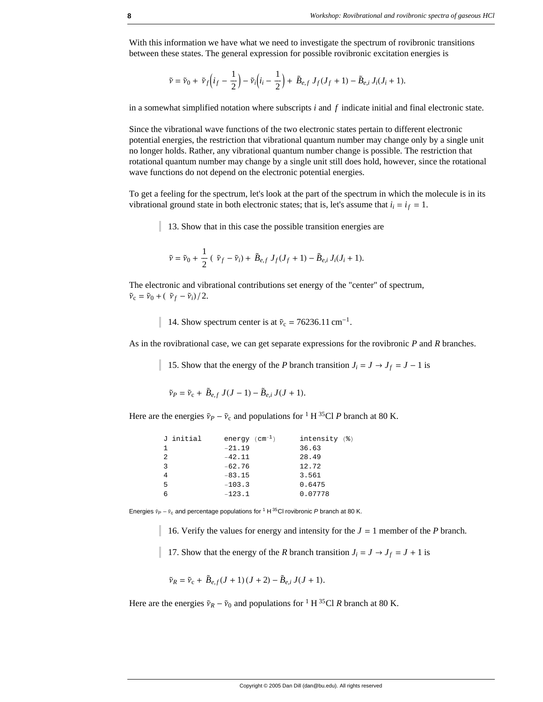With this information we have what we need to investigate the spectrum of rovibronic transitions between these states. The general expression for possible rovibronic excitation energies is

$$
\tilde{v} = \tilde{v}_0 + \tilde{v}_f \left( i_f - \frac{1}{2} \right) - \tilde{v}_i \left( i_i - \frac{1}{2} \right) + \tilde{B}_{e,f} J_f (J_f + 1) - \tilde{B}_{e,i} J_i (J_i + 1).
$$

in a somewhat simplified notation where subscripts *i* and *f* indicate initial and final electronic state.

Since the vibrational wave functions of the two electronic states pertain to different electronic potential energies, the restriction that vibrational quantum number may change only by a single unit no longer holds. Rather, any vibrational quantum number change is possible. The restriction that rotational quantum number may change by a single unit still does hold, however, since the rotational wave functions do not depend on the electronic potential energies.

To get a feeling for the spectrum, let's look at the part of the spectrum in which the molecule is in its vibrational ground state in both electronic states; that is, let's assume that  $i_i = i_f = 1$ .

13. Show that in this case the possible transition energies are

$$
\tilde{\nu} = \tilde{\nu}_0 + \frac{1}{2} (\tilde{\nu}_f - \tilde{\nu}_i) + \tilde{B}_{e,f} J_f(J_f + 1) - \tilde{B}_{e,i} J_i(J_i + 1).
$$

The electronic and vibrational contributions set energy of the "center" of spectrum,  $\tilde{v}_c = \tilde{v}_0 + (\tilde{v}_f - \tilde{v}_i)/2.$ 

14. Show spectrum center is at  $\tilde{v}_c = 76236.11 \text{ cm}^{-1}$ .

As in the rovibrational case, we can get separate expressions for the rovibronic *P* and *R* branches.

15. Show that the energy of the *P* branch transition  $J_i = J \rightarrow J_f = J - 1$  is

$$
\tilde{\nu}_P = \tilde{\nu}_c + \tilde{B}_{e,f} J(J-1) - \tilde{B}_{e,i} J(J+1).
$$

Here are the energies  $\tilde{v}_P - \tilde{v}_c$  and populations for <sup>1</sup> H <sup>35</sup>Cl *P* branch at 80 K.

| J initial | energy $(cm^{-1})$ | intensity (%) |
|-----------|--------------------|---------------|
|           | $-21.19$           | 36.63         |
| 2         | $-42.11$           | 28.49         |
| 3         | $-62.76$           | 12.72         |
|           | $-83.15$           | 3.561         |
| 5         | $-103.3$           | 0.6475        |
|           | $-123.1$           | 0.07778       |

Energies  $\tilde{v}_P - \tilde{v}_c$  and percentage populations for <sup>1</sup> H <sup>35</sup>Cl rovibronic *P* branch at 80 K.

16. Verify the values for energy and intensity for the  $J = 1$  member of the *P* branch.

17. Show that the energy of the *R* branch transition  $J_i = J \rightarrow J_f = J + 1$  is

$$
\tilde{\nu}_R = \tilde{\nu}_c + \tilde{B}_{e,f}(J+1)(J+2) - \tilde{B}_{e,i} J(J+1).
$$

Here are the energies  $\tilde{v}_R - \tilde{v}_0$  and populations for <sup>1</sup> H<sup>35</sup>Cl *R* branch at 80 K.